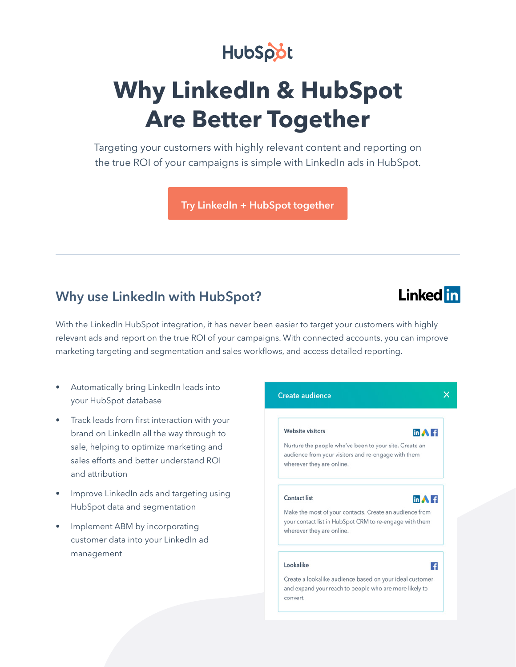## HubSpot

# **Why LinkedIn & HubSpot Are Better Together**

Targeting your customers with highly relevant content and reporting on the true ROI of your campaigns is simple with LinkedIn ads in HubSpot.

**[Try LinkedIn + HubSpot together](https://www.hubspot.com/linkedin-ads-partnership)**

### **Why use LinkedIn with HubSpot?**

### **Linked** in

With the LinkedIn HubSpot integration, it has never been easier to target your customers with highly relevant ads and report on the true ROI of your campaigns. With connected accounts, you can improve marketing targeting and segmentation and sales workflows, and access detailed reporting.

- Automatically bring LinkedIn leads into your HubSpot database
- Track leads from first interaction with your brand on LinkedIn all the way through to sale, helping to optimize marketing and sales efforts and better understand ROI and attribution
- Improve LinkedIn ads and targeting using HubSpot data and segmentation
- Implement ABM by incorporating customer data into your LinkedIn ad management

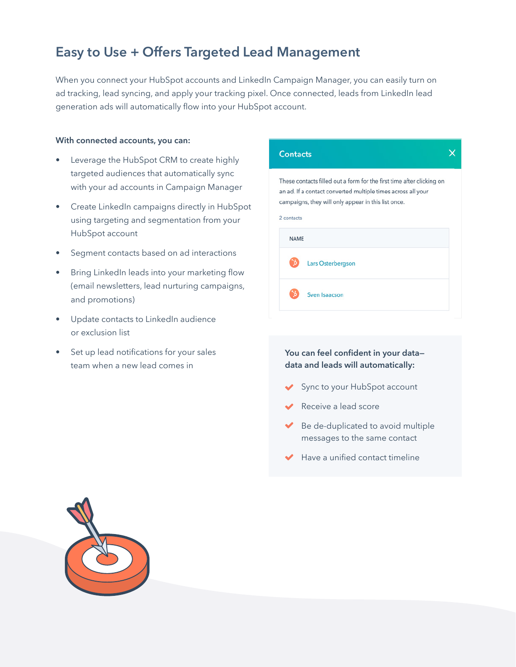### **Easy to Use + Offers Targeted Lead Management**

When you connect your HubSpot accounts and LinkedIn Campaign Manager, you can easily turn on ad tracking, lead syncing, and apply your tracking pixel. Once connected, leads from LinkedIn lead generation ads will automatically flow into your HubSpot account.

#### **With connected accounts, you can:**

- Leverage the HubSpot CRM to create highly targeted audiences that automatically sync with your ad accounts in Campaign Manager
- Create LinkedIn campaigns directly in HubSpot using targeting and segmentation from your HubSpot account
- Segment contacts based on ad interactions
- Bring LinkedIn leads into your marketing flow (email newsletters, lead nurturing campaigns, and promotions)
- Update contacts to LinkedIn audience or exclusion list
- Set up lead notifications for your sales team when a new lead comes in

| <b>Contacts</b>                                                                                                                                                                                            |  |
|------------------------------------------------------------------------------------------------------------------------------------------------------------------------------------------------------------|--|
| These contacts filled out a form for the first time after clicking on<br>an ad. If a contact converted multiple times across all your<br>campaigns, they will only appear in this list once.<br>2 contacts |  |
| <b>NAME</b>                                                                                                                                                                                                |  |
| <b>Lars Osterbergson</b>                                                                                                                                                                                   |  |
| Sven Isaacson                                                                                                                                                                                              |  |

#### **You can feel confident in your data data and leads will automatically:**

- Sync to your HubSpot account
- Receive a lead score
- Be de-duplicated to avoid multiple messages to the same contact
- Have a unified contact timeline

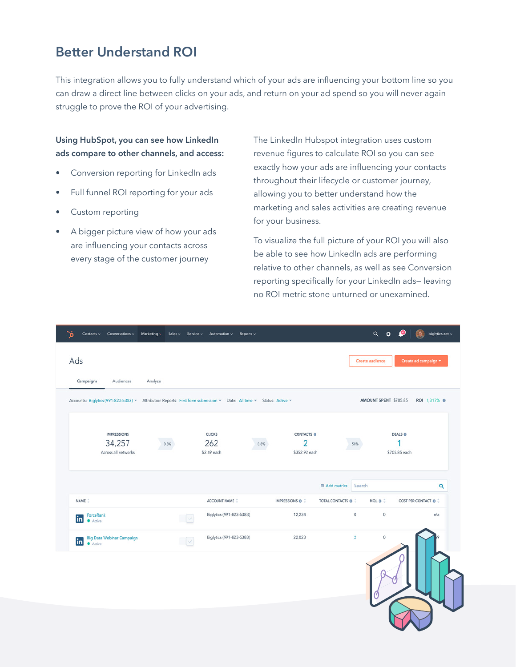### **Better Understand ROI**

This integration allows you to fully understand which of your ads are influencing your bottom line so you can draw a direct line between clicks on your ads, and return on your ad spend so you will never again struggle to prove the ROI of your advertising.

#### **Using HubSpot, you can see how LinkedIn ads compare to other channels, and access:**

- Conversion reporting for LinkedIn ads
- Full funnel ROI reporting for your ads
- Custom reporting
- A bigger picture view of how your ads are influencing your contacts across every stage of the customer journey

The LinkedIn Hubspot integration uses custom revenue figures to calculate ROI so you can see exactly how your ads are influencing your contacts throughout their lifecycle or customer journey, allowing you to better understand how the marketing and sales activities are creating revenue for your business.

To visualize the full picture of your ROI you will also be able to see how LinkedIn ads are performing relative to other channels, as well as see Conversion reporting specifically for your LinkedIn ads— leaving no ROI metric stone unturned or unexamined.

| $\mathcal{S}$<br>Contacts v Conversations v Marketing v Sales v Service v Automation v Reports v                    |         |                          |                            |                       | $Q$ $\phi$      |                       | biglytics.net $\scriptstyle\mathtt{\sim}$<br>igh. |
|---------------------------------------------------------------------------------------------------------------------|---------|--------------------------|----------------------------|-----------------------|-----------------|-----------------------|---------------------------------------------------|
| Ads                                                                                                                 |         |                          |                            |                       | Create audience |                       | Create ad campaign *                              |
| Campaigns<br>Audiences                                                                                              | Analyze |                          |                            |                       |                 |                       |                                                   |
| Accounts: Biglytics (991-823-5383) v Attribution Reports: First form submission v Date: All time v Status: Active v |         |                          |                            |                       |                 | AMOUNT SPENT \$705.85 | ROI 1,317% ®                                      |
| <b>IMPRESSIONS</b>                                                                                                  |         | <b>CLICKS</b>            | CONTACTS ®                 |                       |                 | <b>DEALS ®</b>        |                                                   |
| 34,257<br>Across all networks                                                                                       | 0.8%    | 262<br>\$2.69 each       | 2<br>0.8%<br>\$352.92 each |                       | 50%             | \$705.85 each         |                                                   |
|                                                                                                                     |         |                          |                            | <b>ED</b> Add metrics | Search          |                       | $\alpha$                                          |
| NAME <sup>:</sup>                                                                                                   |         | ACCOUNT NAME C           | IMPRESSIONS @ C            | TOTAL CONTACTS @ 2    | MOL ® ÷         |                       | COST PER CONTACT @ C                              |
| ForceRank<br>in<br><b>Active</b>                                                                                    | $\sim$  | Biglytics (991-823-5383) | 12,234                     |                       | $\mathbf 0$     | $\mathbb O$           | n/a                                               |
| <b>Big Data Webinar Campaign</b><br>in<br><b>Active</b>                                                             | $\sim$  | Biglytics (991-823-5383) | 22,023                     |                       | $\sqrt{2}$      | $\mathbf 0$           |                                                   |
|                                                                                                                     |         |                          |                            |                       |                 |                       |                                                   |
|                                                                                                                     |         |                          |                            |                       |                 |                       |                                                   |